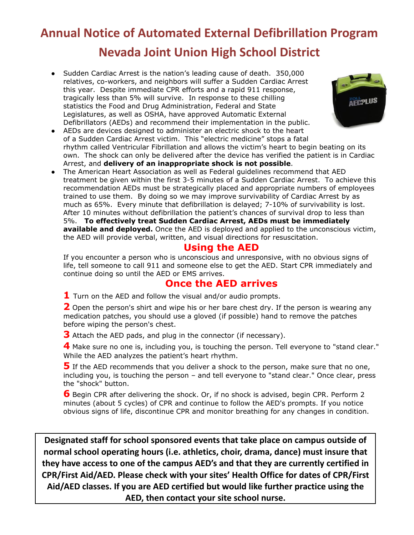# **Annual Notice of Automated External Defibrillation Program Nevada Joint Union High School District**

- Sudden Cardiac Arrest is the nation's leading cause of death. 350,000 relatives, co-workers, and neighbors will suffer a Sudden Cardiac Arrest this year. Despite immediate CPR efforts and a rapid 911 response, tragically less than 5% will survive. In response to these chilling statistics the Food and Drug Administration, Federal and State Legislatures, as well as OSHA, have approved Automatic External Defibrillators (AEDs) and recommend their implementation in the public.
- AEDs are devices designed to administer an electric shock to the heart of a Sudden Cardiac Arrest victim. This "electric medicine" stops a fatal rhythm called Ventricular Fibrillation and allows the victim's heart to begin beating on its own. The shock can only be delivered after the device has verified the patient is in Cardiac Arrest, and **delivery of an inappropriate shock is not possible**.
- **●** The American Heart Association as well as Federal guidelines recommend that AED treatment be given within the first 3-5 minutes of a Sudden Cardiac Arrest. To achieve this recommendation AEDs must be strategically placed and appropriate numbers of employees trained to use them. By doing so we may improve survivability of Cardiac Arrest by as much as 65%. Every minute that defibrillation is delayed; 7-10% of survivability is lost. After 10 minutes without defibrillation the patient's chances of survival drop to less than 5%. **To effectively treat Sudden Cardiac Arrest, AEDs must be immediately available and deployed.** Once the AED is deployed and applied to the unconscious victim, the AED will provide verbal, written, and visual directions for resuscitation.

### **Using the AED**

If you encounter a person who is unconscious and unresponsive, with no obvious signs of life, tell someone to call 911 and someone else to get the AED. Start CPR immediately and continue doing so until the AED or EMS arrives.

### **Once the AED arrives**

**1** Turn on the AED and follow the visual and/or audio prompts.

**2** Open the person's shirt and wipe his or her bare chest dry. If the person is wearing any medication patches, you should use a gloved (if possible) hand to remove the patches before wiping the person's chest.

**3** Attach the AED pads, and plug in the connector (if necessary).

**4** Make sure no one is, including you, is touching the person. Tell everyone to "stand clear." While the AED analyzes the patient's heart rhythm.

**5** If the AED recommends that you deliver a shock to the person, make sure that no one, including you, is touching the person – and tell everyone to "stand clear." Once clear, press the "shock" button.

**6** Begin CPR after delivering the shock. Or, if no shock is advised, begin CPR. Perform 2 minutes (about 5 cycles) of CPR and continue to follow the AED's prompts. If you notice obvious signs of life, discontinue CPR and monitor breathing for any changes in condition.

**Designated staff for school sponsored events that take place on campus outside of normal school operating hours (i.e. athletics, choir, drama, dance) must insure that they have access to one of the campus AED's and that they are currently certified in CPR/First Aid/AED. Please check with your sites' Health Office for dates of CPR/First Aid/AED classes. If you are AED certified but would like further practice using the AED, then contact your site school nurse.**